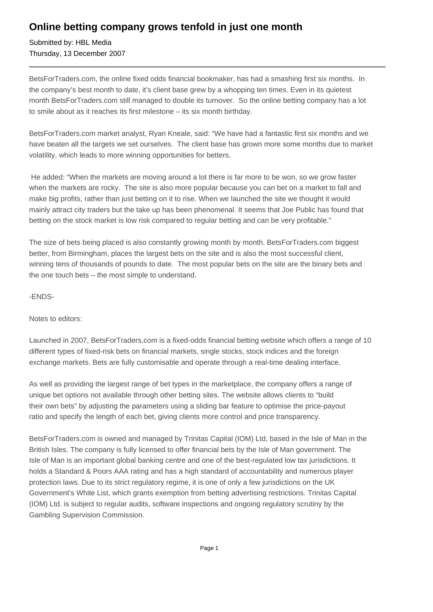## **Online betting company grows tenfold in just one month**

Submitted by: HBL Media Thursday, 13 December 2007

BetsForTraders.com, the online fixed odds financial bookmaker, has had a smashing first six months. In the company's best month to date, it's client base grew by a whopping ten times. Even in its quietest month BetsForTraders.com still managed to double its turnover. So the online betting company has a lot to smile about as it reaches its first milestone – its six month birthday.

BetsForTraders.com market analyst, Ryan Kneale, said: "We have had a fantastic first six months and we have beaten all the targets we set ourselves. The client base has grown more some months due to market volatility, which leads to more winning opportunities for betters.

 He added: "When the markets are moving around a lot there is far more to be won, so we grow faster when the markets are rocky. The site is also more popular because you can bet on a market to fall and make big profits, rather than just betting on it to rise. When we launched the site we thought it would mainly attract city traders but the take up has been phenomenal. It seems that Joe Public has found that betting on the stock market is low risk compared to regular betting and can be very profitable."

The size of bets being placed is also constantly growing month by month. BetsForTraders.com biggest better, from Birmingham, places the largest bets on the site and is also the most successful client, winning tens of thousands of pounds to date. The most popular bets on the site are the binary bets and the one touch bets – the most simple to understand.

-ENDS-

Notes to editors:

Launched in 2007, BetsForTraders.com is a fixed-odds financial betting website which offers a range of 10 different types of fixed-risk bets on financial markets, single stocks, stock indices and the foreign exchange markets. Bets are fully customisable and operate through a real-time dealing interface.

As well as providing the largest range of bet types in the marketplace, the company offers a range of unique bet options not available through other betting sites. The website allows clients to "build their own bets" by adjusting the parameters using a sliding bar feature to optimise the price-payout ratio and specify the length of each bet, giving clients more control and price transparency.

BetsForTraders.com is owned and managed by Trinitas Capital (IOM) Ltd, based in the Isle of Man in the British Isles. The company is fully licensed to offer financial bets by the Isle of Man government. The Isle of Man is an important global banking centre and one of the best-regulated low tax jurisdictions. It holds a Standard & Poors AAA rating and has a high standard of accountability and numerous player protection laws. Due to its strict regulatory regime, it is one of only a few jurisdictions on the UK Government's White List, which grants exemption from betting advertising restrictions. Trinitas Capital (IOM) Ltd. is subject to regular audits, software inspections and ongoing regulatory scrutiny by the Gambling Supervision Commission.